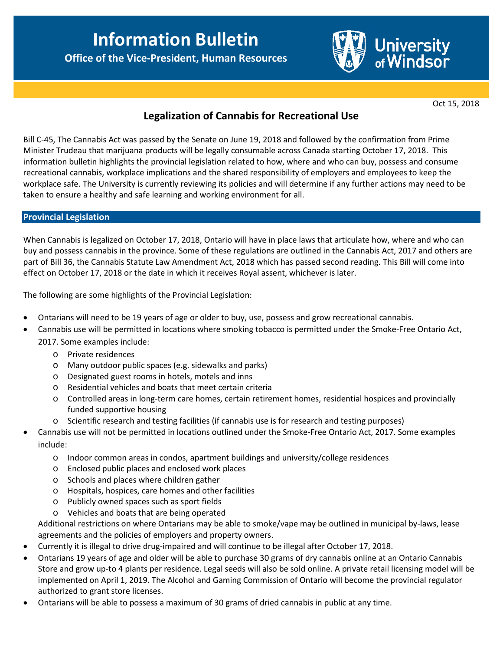**Department of Human Resources Office of the Vice-President, Human Resources**



Oct 15, 2018

# **Legalization of Cannabis for Recreational Use**

Bill C-45, The Cannabis Act was passed by the Senate on June 19, 2018 and followed by the confirmation from Prime Minister Trudeau that marijuana products will be legally consumable across Canada starting October 17, 2018. This information bulletin highlights the provincial legislation related to how, where and who can buy, possess and consume recreational cannabis, workplace implications and the shared responsibility of employers and employees to keep the workplace safe. The University is currently reviewing its policies and will determine if any further actions may need to be taken to ensure a healthy and safe learning and working environment for all.

### **Provincial Legislation**

When Cannabis is legalized on October 17, 2018, Ontario will have in place laws that articulate how, where and who can buy and possess cannabis in the province. Some of these regulations are outlined in the Cannabis Act, 2017 and others are part of Bill 36, the Cannabis Statute Law Amendment Act, 2018 which has passed second reading. This Bill will come into effect on October 17, 2018 or the date in which it receives Royal assent, whichever is later.

The following are some highlights of the Provincial Legislation:

- Ontarians will need to be 19 years of age or older to buy, use, possess and grow recreational cannabis.
- Cannabis use will be permitted in locations where smoking tobacco is permitted under the Smoke-Free Ontario Act, 2017. Some examples include:
	- o Private residences
	- o Many outdoor public spaces (e.g. sidewalks and parks)
	- o Designated guest rooms in hotels, motels and inns
	- o Residential vehicles and boats that meet certain criteria
	- o Controlled areas in long-term care homes, certain retirement homes, residential hospices and provincially funded supportive housing
	- o Scientific research and testing facilities (if cannabis use is for research and testing purposes)
- Cannabis use will not be permitted in locations outlined under the Smoke-Free Ontario Act, 2017. Some examples include:
	- o Indoor common areas in condos, apartment buildings and university/college residences
	- o Enclosed public places and enclosed work places
	- o Schools and places where children gather
	- o Hospitals, hospices, care homes and other facilities
	- o Publicly owned spaces such as sport fields
	- o Vehicles and boats that are being operated

Additional restrictions on where Ontarians may be able to smoke/vape may be outlined in municipal by-laws, lease agreements and the policies of employers and property owners.

- Currently it is illegal to drive drug-impaired and will continue to be illegal after October 17, 2018.
- Ontarians 19 years of age and older will be able to purchase 30 grams of dry cannabis online at an Ontario Cannabis Store and grow up-to 4 plants per residence. Legal seeds will also be sold online. A private retail licensing model will be implemented on April 1, 2019. The Alcohol and Gaming Commission of Ontario will become the provincial regulator authorized to grant store licenses.
- Ontarians will be able to possess a maximum of 30 grams of dried cannabis in public at any time.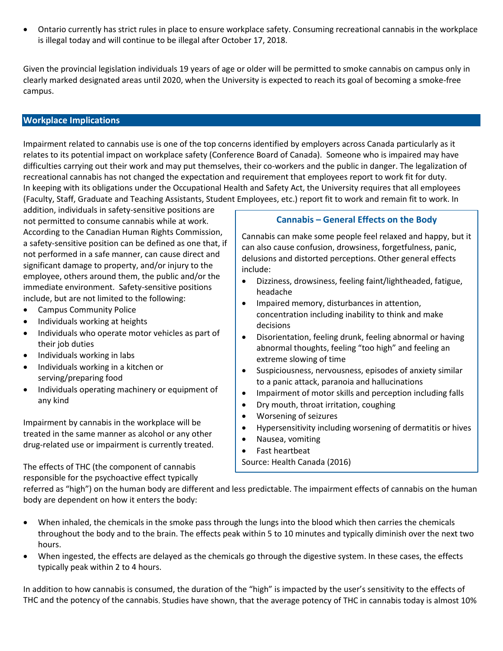• Ontario currently has strict rules in place to ensure workplace safety. Consuming recreational cannabis in the workplace is illegal today and will continue to be illegal after October 17, 2018.

Given the provincial legislation individuals 19 years of age or older will be permitted to smoke cannabis on campus only in clearly marked designated areas until 2020, when the University is expected to reach its goal of becoming a smoke-free campus.

## **Workplace Implications**

Impairment related to cannabis use is one of the top concerns identified by employers across Canada particularly as it relates to its potential impact on workplace safety (Conference Board of Canada). Someone who is impaired may have difficulties carrying out their work and may put themselves, their co-workers and the public in danger. The legalization of recreational cannabis has not changed the expectation and requirement that employees report to work fit for duty. In keeping with its obligations under the Occupational Health and Safety Act, the University requires that all employees (Faculty, Staff, Graduate and Teaching Assistants, Student Employees, etc.) report fit to work and remain fit to work. In

addition, individuals in safety-sensitive positions are not permitted to consume cannabis while at work. According to the Canadian Human Rights Commission, a safety-sensitive position can be defined as one that, if not performed in a safe manner, can cause direct and significant damage to property, and/or injury to the employee, others around them, the public and/or the immediate environment. Safety-sensitive positions include, but are not limited to the following:

- Campus Community Police
- Individuals working at heights
- Individuals who operate motor vehicles as part of their job duties
- Individuals working in labs
- Individuals working in a kitchen or serving/preparing food
- Individuals operating machinery or equipment of any kind

Impairment by cannabis in the workplace will be treated in the same manner as alcohol or any other drug-related use or impairment is currently treated.

The effects of THC (the component of cannabis responsible for the psychoactive effect typically

## **Cannabis – General Effects on the Body**

Cannabis can make some people feel relaxed and happy, but it can also cause confusion, drowsiness, forgetfulness, panic, delusions and distorted perceptions. Other general effects include:

- Dizziness, drowsiness, feeling faint/lightheaded, fatigue, headache
- Impaired memory, disturbances in attention, concentration including inability to think and make decisions
- Disorientation, feeling drunk, feeling abnormal or having abnormal thoughts, feeling "too high" and feeling an extreme slowing of time
- Suspiciousness, nervousness, episodes of anxiety similar to a panic attack, paranoia and hallucinations
- Impairment of motor skills and perception including falls
- Dry mouth, throat irritation, coughing
- Worsening of seizures
- Hypersensitivity including worsening of dermatitis or hives
- Nausea, vomiting
- Fast heartbeat

Source: Health Canada (2016)

referred as "high") on the human body are different and less predictable. The impairment effects of cannabis on the human body are dependent on how it enters the body:

- When inhaled, the chemicals in the smoke pass through the lungs into the blood which then carries the chemicals throughout the body and to the brain. The effects peak within 5 to 10 minutes and typically diminish over the next two hours.
- When ingested, the effects are delayed as the chemicals go through the digestive system. In these cases, the effects typically peak within 2 to 4 hours.

In addition to how cannabis is consumed, the duration of the "high" is impacted by the user's sensitivity to the effects of THC and the potency of the cannabis. Studies have shown, that the average potency of THC in cannabis today is almost 10%